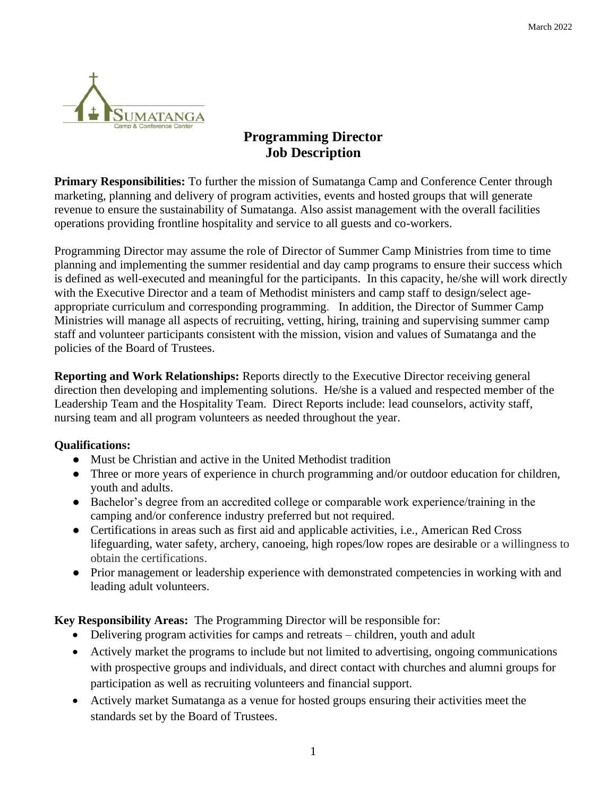

## **Programming Director Job Description**

**Primary Responsibilities:** To further the mission of Sumatanga Camp and Conference Center through marketing, planning and delivery of program activities, events and hosted groups that will generate revenue to ensure the sustainability of Sumatanga. Also assist management with the overall facilities operations providing frontline hospitality and service to all guests and co-workers.

Programming Director may assume the role of Director of Summer Camp Ministries from time to time planning and implementing the summer residential and day camp programs to ensure their success which is defined as well-executed and meaningful for the participants. In this capacity, he/she will work directly with the Executive Director and a team of Methodist ministers and camp staff to design/select ageappropriate curriculum and corresponding programming*.* In addition, the Director of Summer Camp Ministries will manage all aspects of recruiting, vetting, hiring, training and supervising summer camp staff and volunteer participants consistent with the mission, vision and values of Sumatanga and the policies of the Board of Trustees.

**Reporting and Work Relationships:** Reports directly to the Executive Director receiving general direction then developing and implementing solutions. He/she is a valued and respected member of the Leadership Team and the Hospitality Team. Direct Reports include: lead counselors, activity staff, nursing team and all program volunteers as needed throughout the year.

## **Qualifications:**

- Must be Christian and active in the United Methodist tradition
- Three or more years of experience in church programming and/or outdoor education for children, youth and adults.
- Bachelor's degree from an accredited college or comparable work experience/training in the camping and/or conference industry preferred but not required.
- Certifications in areas such as first aid and applicable activities, i.e., American Red Cross lifeguarding, water safety, archery, canoeing, high ropes/low ropes are desirable or a willingness to obtain the certifications.
- Prior management or leadership experience with demonstrated competencies in working with and leading adult volunteers.

**Key Responsibility Areas:** The Programming Director will be responsible for:

- Delivering program activities for camps and retreats children, youth and adult
- Actively market the programs to include but not limited to advertising, ongoing communications with prospective groups and individuals, and direct contact with churches and alumni groups for participation as well as recruiting volunteers and financial support.
- Actively market Sumatanga as a venue for hosted groups ensuring their activities meet the standards set by the Board of Trustees.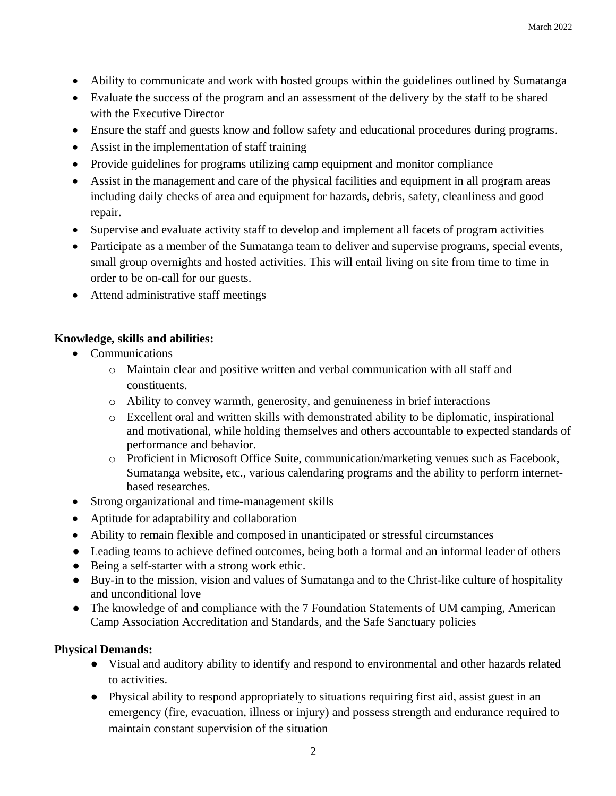- Ability to communicate and work with hosted groups within the guidelines outlined by Sumatanga
- Evaluate the success of the program and an assessment of the delivery by the staff to be shared with the Executive Director
- Ensure the staff and guests know and follow safety and educational procedures during programs.
- Assist in the implementation of staff training
- Provide guidelines for programs utilizing camp equipment and monitor compliance
- Assist in the management and care of the physical facilities and equipment in all program areas including daily checks of area and equipment for hazards, debris, safety, cleanliness and good repair.
- Supervise and evaluate activity staff to develop and implement all facets of program activities
- Participate as a member of the Sumatanga team to deliver and supervise programs, special events, small group overnights and hosted activities. This will entail living on site from time to time in order to be on-call for our guests.
- Attend administrative staff meetings

## **Knowledge, skills and abilities:**

- Communications
	- o Maintain clear and positive written and verbal communication with all staff and constituents.
	- o Ability to convey warmth, generosity, and genuineness in brief interactions
	- o Excellent oral and written skills with demonstrated ability to be diplomatic, inspirational and motivational, while holding themselves and others accountable to expected standards of performance and behavior.
	- o Proficient in Microsoft Office Suite, communication/marketing venues such as Facebook, Sumatanga website, etc., various calendaring programs and the ability to perform internetbased researches.
- Strong organizational and time-management skills
- Aptitude for adaptability and collaboration
- Ability to remain flexible and composed in unanticipated or stressful circumstances
- Leading teams to achieve defined outcomes, being both a formal and an informal leader of others
- Being a self-starter with a strong work ethic.
- Buy-in to the mission, vision and values of Sumatanga and to the Christ-like culture of hospitality and unconditional love
- The knowledge of and compliance with the 7 Foundation Statements of UM camping, American Camp Association Accreditation and Standards, and the Safe Sanctuary policies

## **Physical Demands:**

- Visual and auditory ability to identify and respond to environmental and other hazards related to activities.
- Physical ability to respond appropriately to situations requiring first aid, assist guest in an emergency (fire, evacuation, illness or injury) and possess strength and endurance required to maintain constant supervision of the situation